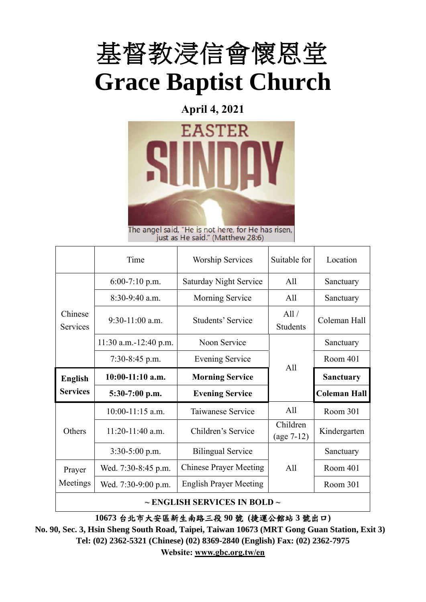

**April 4, 2021**



The angel said, "He is not here, for He has risen,<br>just as He said." (Matthew 28:6)

|                            | Time                    | <b>Worship Services</b>       | Suitable for             | Location            |
|----------------------------|-------------------------|-------------------------------|--------------------------|---------------------|
|                            | $6:00-7:10$ p.m.        | <b>Saturday Night Service</b> | All                      | Sanctuary           |
|                            | $8:30-9:40$ a.m.        | <b>Morning Service</b>        | All                      | Sanctuary           |
| Chinese<br><b>Services</b> | $9:30-11:00$ a.m.       | Students' Service             | All/<br><b>Students</b>  | Coleman Hall        |
|                            | $11:30$ a.m.-12:40 p.m. | Noon Service                  |                          | Sanctuary           |
|                            | $7:30-8:45$ p.m.        | <b>Evening Service</b>        | A11                      | Room 401            |
|                            |                         |                               |                          |                     |
| <b>English</b>             | $10:00-11:10$ a.m.      | <b>Morning Service</b>        |                          | <b>Sanctuary</b>    |
| <b>Services</b>            | $5:30-7:00$ p.m.        | <b>Evening Service</b>        |                          | <b>Coleman Hall</b> |
|                            | $10:00-11:15$ a.m.      | Taiwanese Service             | All                      | Room 301            |
| Others                     | $11:20-11:40$ a.m.      | Children's Service            | Children<br>$(age 7-12)$ | Kindergarten        |
|                            | $3:30-5:00$ p.m.        | <b>Bilingual Service</b>      |                          | Sanctuary           |
| Prayer                     | Wed. 7:30-8:45 p.m.     | <b>Chinese Prayer Meeting</b> | All                      | Room 401            |
| Meetings                   | Wed. 7:30-9:00 p.m.     | <b>English Prayer Meeting</b> |                          | Room 301            |

**10673** 台北市大安區新生南路三段 **90** 號 **(**捷運公館站 **3** 號出口**)**

**No. 90, Sec. 3, Hsin Sheng South Road, Taipei, Taiwan 10673 (MRT Gong Guan Station, Exit 3) Tel: (02) 2362-5321 (Chinese) (02) 8369-2840 (English) Fax: (02) 2362-7975 Website: [www.gbc.org.tw/en](http://www.gbc.org.tw/en)**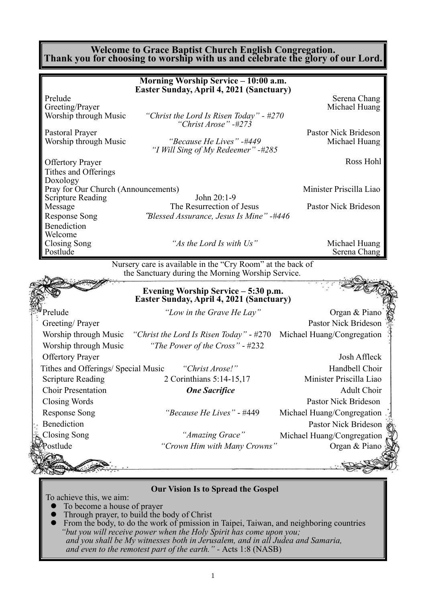#### **Welcome to Grace Baptist Church English Congregation. Thank you for choosing to worship with us and celebrate the glory of our Lord.**

|                                                     | Morning Worship Service - 10:00 a.m.                                            |                                             |
|-----------------------------------------------------|---------------------------------------------------------------------------------|---------------------------------------------|
|                                                     | Easter Sunday, April 4, 2021 (Sanctuary)                                        |                                             |
| Prelude<br>Greeting/Prayer                          |                                                                                 | Serena Chang<br>Michael Huang               |
| Worship through Music                               | "Christ the Lord Is Risen Today" - #270<br>"Christ Arose" -#273                 |                                             |
| Pastoral Prayer                                     |                                                                                 | Pastor Nick Brideson                        |
| Worship through Music                               | "Because He Lives" -#449<br>"I Will Sing of My Redeemer" -#285                  | Michael Huang                               |
| <b>Offertory Prayer</b>                             |                                                                                 | Ross Hohl                                   |
| Tithes and Offerings                                |                                                                                 |                                             |
| Doxology                                            |                                                                                 |                                             |
| Pray for Our Church (Announcements)                 | John 20:1-9                                                                     | Minister Priscilla Liao                     |
| <b>Scripture Reading</b><br>Message                 | The Resurrection of Jesus                                                       | Pastor Nick Brideson                        |
| <b>Response Song</b>                                | "Blessed Assurance, Jesus Is Mine" -#446                                        |                                             |
| Benediction                                         |                                                                                 |                                             |
| Welcome                                             |                                                                                 |                                             |
| <b>Closing Song</b>                                 | "As the Lord Is with Us"                                                        | Michael Huang                               |
| Postlude                                            |                                                                                 | Serena Chang                                |
|                                                     | Evening Worship Service - 5:30 p.m.<br>Easter Sunday, April 4, 2021 (Sanctuary) |                                             |
| Prelude                                             | "Low in the Grave He Lay"                                                       | Organ & Piano                               |
| Greeting/Prayer                                     |                                                                                 | <b>Pastor Nick Brideson</b>                 |
| Worship through Music                               | "Christ the Lord Is Risen Today" $-$ #270                                       | Michael Huang/Congregation                  |
| Worship through Music                               | "The Power of the Cross" - #232                                                 |                                             |
| <b>Offertory Prayer</b>                             |                                                                                 | Josh Affleck                                |
| Tithes and Offerings/ Special Music "Christ Arose!" |                                                                                 | Handbell Choir                              |
| <b>Scripture Reading</b>                            | 2 Corinthians 5:14-15,17                                                        | Minister Priscilla Liao                     |
| <b>Choir Presentation</b>                           | <b>One Sacrifice</b>                                                            | <b>Adult Choir</b>                          |
| Closing Words                                       |                                                                                 | Pastor Nick Brideson                        |
| <b>Response Song</b>                                | "Because He Lives" - #449                                                       | Michael Huang/Congregation                  |
|                                                     |                                                                                 | Pastor Nick Brideson                        |
|                                                     |                                                                                 |                                             |
|                                                     |                                                                                 |                                             |
| <b>Benediction</b><br><b>Closing Song</b>           | "Amazing Grace"                                                                 |                                             |
| postlude                                            | "Crown Him with Many Crowns"                                                    | Michael Huang/Congregation<br>Organ & Piano |
|                                                     |                                                                                 |                                             |

**Our Vision Is to Spread the Gospel**

To achieve this, we aim:

- To become a house of prayer<br>• Through prayer to build the l
- $\bullet$  Through prayer, to build the body of Christ
- ⚫ From the body, to do the work of pmission in Taipei, Taiwan, and neighboring countries *"but you will receive power when the Holy Spirit has come upon you; and you shall be My witnesses both in Jerusalem, and in all Judea and Samaria, and even to the remotest part of the earth." -* Acts 1:8 (NASB)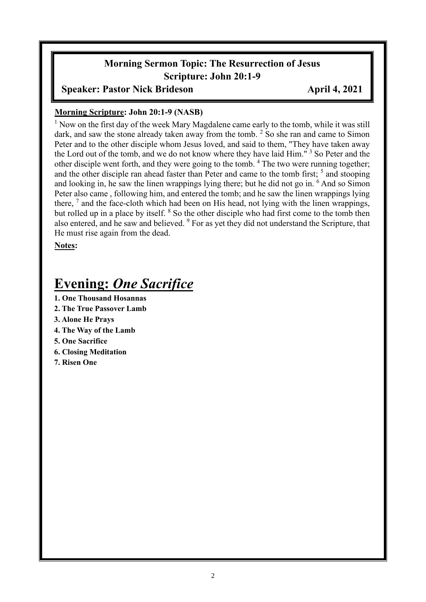# **Morning Sermon Topic: The Resurrection of Jesus Scripture: John 20:1-9**

#### **Speaker: Pastor Nick Brideson April 4, 2021**

#### **Morning Scripture: John 20:1-9 (NASB)**

<sup>1</sup> Now on the first day of the week Mary Magdalene came early to the tomb, while it was still dark, and saw the stone already taken away from the tomb.  $2$  So she ran and came to Simon Peter and to the other disciple whom Jesus loved, and said to them, "They have taken away the Lord out of the tomb, and we do not know where they have laid Him."<sup>3</sup> So Peter and the other disciple went forth, and they were going to the tomb. <sup>4</sup> The two were running together; and the other disciple ran ahead faster than Peter and came to the tomb first;  $<sup>5</sup>$  and stooping</sup> and looking in, he saw the linen wrappings lying there; but he did not go in. <sup>6</sup> And so Simon Peter also came , following him, and entered the tomb; and he saw the linen wrappings lying there, <sup>7</sup> and the face-cloth which had been on His head, not lying with the linen wrappings, but rolled up in a place by itself. <sup>8</sup> So the other disciple who had first come to the tomb then also entered, and he saw and believed. <sup>9</sup> For as yet they did not understand the Scripture, that He must rise again from the dead.

**Notes:**

# **Evening:** *One Sacrifice*

- **1. One Thousand Hosannas**
- **2. The True Passover Lamb**
- **3. Alone He Prays**
- **4. The Way of the Lamb**
- **5. One Sacrifice**
- **6. Closing Meditation**
- **7. Risen One**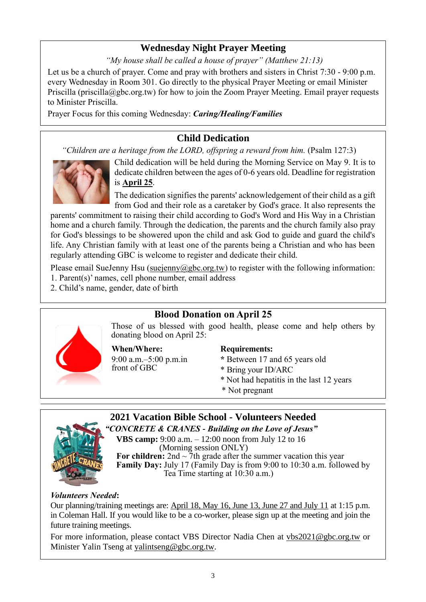### **Wednesday Night Prayer Meeting**

*"My house shall be called a house of prayer" (Matthew 21:13)*

Let us be a church of prayer. Come and pray with brothers and sisters in Christ 7:30 - 9:00 p.m. every Wednesday in Room 301. Go directly to the physical Prayer Meeting or email Minister Priscilla (priscilla@gbc.org.tw) for how to join the Zoom Prayer Meeting. Email prayer requests to Minister Priscilla.

Prayer Focus for this coming Wednesday: *Caring/Healing/Families*

# **Child Dedication**

*"Children are a heritage from the LORD, offspring a reward from him.* (Psalm 127:3)



Child dedication will be held during the Morning Service on May 9. It is to dedicate children between the ages of 0-6 years old. Deadline for registration is **April 25**.

The dedication signifies the parents' acknowledgement of their child as a gift from God and their role as a caretaker by God's grace. It also represents the

parents' commitment to raising their child according to God's Word and His Way in a Christian home and a church family. Through the dedication, the parents and the church family also pray for God's blessings to be showered upon the child and ask God to guide and guard the child's life. Any Christian family with at least one of the parents being a Christian and who has been regularly attending GBC is welcome to register and dedicate their child.

Please email SueJenny Hsu [\(suejenny@gbc.org.tw\)](mailto:suejenny@gbc.org.tw) to register with the following information:

- 1. Parent(s)' names, cell phone number, email address
- 2. Child's name, gender, date of birth

# **Blood Donation on April 25**

Those of us blessed with good health, please come and help others by donating blood on April 25:

**When/Where:**

9:00 a.m.–5:00 p.m.in front of GBC

#### **Requirements:**

- **\*** Between 17 and 65 years old
- \* Bring your ID/ARC
- \* Not had hepatitis in the last 12 years
- \* Not pregnant

# **2021 Vacation Bible School - Volunteers Needed**



*"CONCRETE & CRANES - Building on the Love of Jesus"* **VBS camp:** 9:00 a.m. – 12:00 noon from July 12 to 16 (Morning session ONLY) For children:  $2nd \sim 7$ th grade after the summer vacation this year **Family Day:** July 17 (Family Day is from 9:00 to 10:30 a.m. followed by Tea Time starting at 10:30 a.m.)

#### *Volunteers Needed***:**

Our planning/training meetings are: April 18, May 16, June 13, June 27 and July 11 at 1:15 p.m. in Coleman Hall. If you would like to be a co-worker, please sign up at the meeting and join the future training meetings.

For more information, please contact VBS Director Nadia Chen at [vbs2021@gbc.org.tw](mailto:vbs2021@gbc.org.tw) or Minister Yalin Tseng at yalintseng@gbc.org.tw.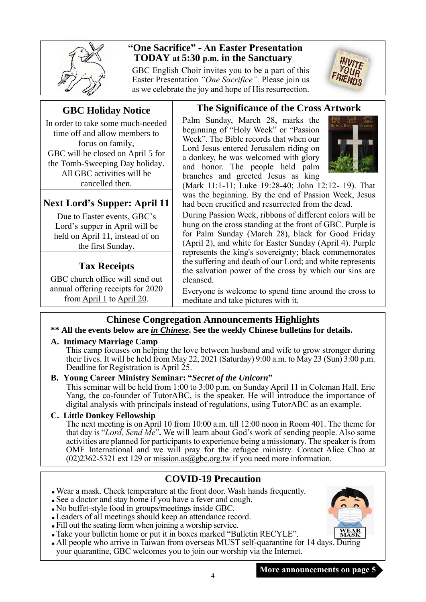

### **"One Sacrifice" - An Easter Presentation TODAY at 5:30 p.m. in the Sanctuary**

GBC English Choir invites you to be a part of this Easter Presentation *"One Sacrifice".* Please join us as we celebrate the joy and hope of His resurrection.



### **GBC Holiday Notice**

In order to take some much-needed time off and allow members to focus on family, GBC will be closed on April 5 for the Tomb-Sweeping Day holiday. All GBC activities will be cancelled then.

# **Next Lord's Supper: April 11**

Due to Easter events, GBC's Lord's supper in April will be held on April 11, instead of on the first Sunday.

# **Tax Receipts**

GBC church office will send out annual offering receipts for 2020 from April 1 to April 20.

#### **The Significance of the Cross Artwork**

Palm Sunday, March 28, marks the beginning of "Holy Week" or "Passion Week". The Bible records that when our Lord Jesus entered Jerusalem riding on a donkey, he was welcomed with glory and honor. The people held palm branches and greeted Jesus as king



(Mark 11:1-11; Luke 19:28-40; John 12:12- 19). That was the beginning. By the end of Passion Week, Jesus had been crucified and resurrected from the dead.

During Passion Week, ribbons of different colors will be hung on the cross standing at the front of GBC. Purple is for Palm Sunday (March 28), black for Good Friday (April 2), and white for Easter Sunday (April 4). Purple represents the king's sovereignty; black commemorates the suffering and death of our Lord; and white represents the salvation power of the cross by which our sins are cleansed.

Everyone is welcome to spend time around the cross to meditate and take pictures with it.

### **Chinese Congregation Announcements Highlights**

#### **\*\* All the events below are** *in Chinese***. See the weekly Chinese bulletins for details.**

#### **A. Intimacy Marriage Camp**

This camp focuses on helping the love between husband and wife to grow stronger during their lives. It will be held from May 22, 2021 (Saturday) 9:00 a.m. to May 23 (Sun) 3:00 p.m. Deadline for Registration is April 25.

#### **B. Young Career Ministry Seminar: "***Secret of the Unicorn***"**

This seminar will be held from 1:00 to 3:00 p.m. on Sunday April 11 in Coleman Hall. Eric Yang, the co-founder of TutorABC, is the speaker. He will introduce the importance of digital analysis with principals instead of regulations, using TutorABC as an example.

#### **C. Little Donkey Fellowship**

The next meeting is on April 10 from 10:00 a.m. till 12:00 noon in Room 401. The theme for that day is "*Lord, Send Me*"**.** We will learn about God's work of sending people. Also some activities are planned for participants to experience being a missionary. The speaker is from OMF International and we will pray for the refugee ministry. Contact Alice Chao at  $(02)2362-5321$  ext 129 or mission.as  $\omega$  gbc.org.tw if you need more information.

### **COVID-19 Precaution**

<sup>◼</sup> Wear a mask. Check temperature at the front door. Wash hands frequently.

- <sup>◼</sup> See a doctor and stay home if you have a fever and cough.
- <sup>◼</sup> No buffet-style food in groups/meetings inside GBC.
- <sup>◼</sup> Leaders of all meetings should keep an attendance record.
- <sup>◼</sup> Fill out the seating form when joining a worship service.
- <sup>◼</sup> Take your bulletin home or put it in boxes marked "Bulletin RECYLE".
- All people who arrive in Taiwan from overseas MUST self-quarantine for 14 days. During your quarantine, GBC welcomes you to join our worship via the Internet.

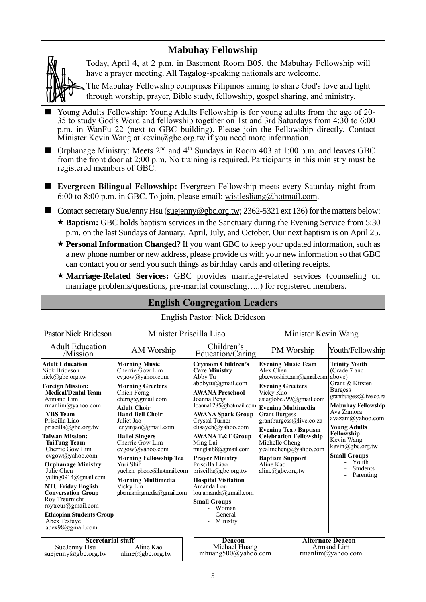#### **Mabuhay Fellowship**

Today, April 4, at 2 p.m. in Basement Room B05, the Mabuhay Fellowship will have a prayer meeting. All Tagalog-speaking nationals are welcome.

The Mabuhay Fellowship comprises Filipinos aiming to share God's love and light through worship, prayer, Bible study, fellowship, gospel sharing, and ministry.

- Young Adults Fellowship: Young Adults Fellowship is for young adults from the age of 20-35 to study God's Word and fellowship together on 1st and 3rd Saturdays from 4:30 to 6:00 p.m. in WanFu 22 (next to GBC building). Please join the Fellowship directly. Contact Minister Kevin Wang at kevin@gbc.org.tw if you need more information.
- $\blacksquare$  Orphanage Ministry: Meets 2<sup>nd</sup> and 4<sup>th</sup> Sundays in Room 403 at 1:00 p.m. and leaves GBC from the front door at 2:00 p.m. No training is required. Participants in this ministry must be registered members of GBC.
- **Evergreen Bilingual Fellowship:** Evergreen Fellowship meets every Saturday night from 6:00 to 8:00 p.m. in GBC. To join, please email: [wistlesliang@hotmail.com.](mailto:wistlesliang@hotmail.com)

■ Contact secretary SueJenny Hsu [\(suejenny@gbc.org.tw;](mailto:suejenny@gbc.org.tw) 2362-5321 ext 136) for the matters below:

- \* **Baptism:** GBC holds baptism services in the Sanctuary during the Evening Service from 5:30 p.m. on the last Sundays of January, April, July, and October. Our next baptism is on April 25.
- **Personal Information Changed?** If you want GBC to keep your updated information, such as a new phone number or new address, please provide us with your new information so that GBC can contact you or send you such things as birthday cards and offering receipts.
- **Marriage-Related Services:** GBC provides marriage-related services (counseling on marriage problems/questions, pre-marital counseling…..) for registered members.

|                                                                                                                                                                                                                                                                                                                                                                                                                                                                                                                                                        |                                                                                                                                                                                                                                                                                                                                                                                                                               | <b>English Congregation Leaders</b>                                                                                                                                                                                                                                                                                                                                                                                                                                                                      |                                                                                                                                                                                                                                                                                                                                                                                                          |                                                                                                                                                                                                                                                                                                                      |
|--------------------------------------------------------------------------------------------------------------------------------------------------------------------------------------------------------------------------------------------------------------------------------------------------------------------------------------------------------------------------------------------------------------------------------------------------------------------------------------------------------------------------------------------------------|-------------------------------------------------------------------------------------------------------------------------------------------------------------------------------------------------------------------------------------------------------------------------------------------------------------------------------------------------------------------------------------------------------------------------------|----------------------------------------------------------------------------------------------------------------------------------------------------------------------------------------------------------------------------------------------------------------------------------------------------------------------------------------------------------------------------------------------------------------------------------------------------------------------------------------------------------|----------------------------------------------------------------------------------------------------------------------------------------------------------------------------------------------------------------------------------------------------------------------------------------------------------------------------------------------------------------------------------------------------------|----------------------------------------------------------------------------------------------------------------------------------------------------------------------------------------------------------------------------------------------------------------------------------------------------------------------|
|                                                                                                                                                                                                                                                                                                                                                                                                                                                                                                                                                        |                                                                                                                                                                                                                                                                                                                                                                                                                               | English Pastor: Nick Brideson                                                                                                                                                                                                                                                                                                                                                                                                                                                                            |                                                                                                                                                                                                                                                                                                                                                                                                          |                                                                                                                                                                                                                                                                                                                      |
| <b>Pastor Nick Brideson</b>                                                                                                                                                                                                                                                                                                                                                                                                                                                                                                                            | Minister Priscilla Liao                                                                                                                                                                                                                                                                                                                                                                                                       |                                                                                                                                                                                                                                                                                                                                                                                                                                                                                                          | Minister Kevin Wang                                                                                                                                                                                                                                                                                                                                                                                      |                                                                                                                                                                                                                                                                                                                      |
| <b>Adult Education</b><br>/Mission                                                                                                                                                                                                                                                                                                                                                                                                                                                                                                                     | AM Worship                                                                                                                                                                                                                                                                                                                                                                                                                    | Children's<br>Education/Caring                                                                                                                                                                                                                                                                                                                                                                                                                                                                           | PM Worship                                                                                                                                                                                                                                                                                                                                                                                               | Youth/Fellowship                                                                                                                                                                                                                                                                                                     |
| <b>Adult Education</b><br>Nick Brideson<br>nick@gbc.org.tw<br><b>Foreign Mission:</b><br><b>Medical/Dental Team</b><br>Armand Lim<br>rmanlim@yahoo.com<br><b>VBS</b> Team<br>Priscilla Liao<br>priscilla@gbc.org.tw<br><b>Taiwan Mission:</b><br><b>TaiTung Team</b><br>Cherrie Gow Lim<br>cvgow@yahoo.com<br><b>Orphanage Ministry</b><br>Julie Chen<br>yuling0914@gmail.com<br><b>NTU Friday English</b><br><b>Conversation Group</b><br>Roy Treurnicht<br>roytreur@gmail.com<br><b>Ethiopian Students Group</b><br>Abex Tesfave<br>abex98@gmail.com | <b>Morning Music</b><br>Cherrie Gow Lim<br>cvgow@yahoo.com<br><b>Morning Greeters</b><br>Chien Ferng<br>cferng@gmail.com<br><b>Adult Choir</b><br><b>Hand Bell Choir</b><br>Juliet Jao<br>lenyinjao@gmail.com<br><b>Hallel Singers</b><br>Cherrie Gow Lim<br>cvgow@yahoo.com<br><b>Morning Fellowship Tea</b><br>Yuri Shih<br>yuchen phone@hotmail.com<br><b>Morning Multimedia</b><br>Vicky Lin<br>gbcmorningmedia@gmail.com | <b>Cryroom Children's</b><br><b>Care Ministry</b><br>Abby Tu<br>abbbytu@gmail.com<br><b>AWANA Preschool</b><br>Joanna Peng<br>Joanna1285@hotmail.com<br><b>AWANA Spark Group</b><br>Crystal Turner<br>elisayeh@yahoo.com<br><b>AWANA T&amp;T Group</b><br>Ming Lai<br>minglai $88$ @gmail.com<br><b>Prayer Ministry</b><br>Priscilla Liao<br>$priscilla(\partial gbc.org.tw)$<br><b>Hospital Visitation</b><br>Amanda Lou<br>lou.amanda@gmail.com<br><b>Small Groups</b><br>Women<br>General<br>Ministry | <b>Evening Music Team</b><br>Alex Chen<br>gbceworshipteam@gmail.com<br><b>Evening Greeters</b><br>Vicky Kuo<br>asiaglobe999@gmail.com<br><b>Evening Multimedia</b><br><b>Grant Burgess</b><br>grantburgess@live.co.za<br><b>Evening Tea / Baptism</b><br><b>Celebration Fellowship</b><br>Michelle Cheng<br>yealincheng@yahoo.com<br><b>Baptism Support</b><br>Aline Kao<br>$aline(\partial gbc.org.tw)$ | <b>Trinity Youth</b><br>(Grade 7 and<br>above)<br>Grant & Kirsten<br><b>Burgess</b><br>grantburgess@live.co.za<br><b>Mabuhay Fellowship</b><br>Ava Zamora<br>avazam@yahoo.com<br><b>Young Adults</b><br>Fellowship<br>Kevin Wang<br>kevin@gbc.org.tw<br><b>Small Groups</b><br>Youth<br><b>Students</b><br>Parenting |
| <b>Secretarial staff</b><br>SueJenny Hsu<br>suejenny@gbc.org.tw                                                                                                                                                                                                                                                                                                                                                                                                                                                                                        | Aline Kao<br>$aline(\partial gbc.org.tw)$                                                                                                                                                                                                                                                                                                                                                                                     | Deacon<br>Michael Huang<br>mhuang500@yahoo.com                                                                                                                                                                                                                                                                                                                                                                                                                                                           |                                                                                                                                                                                                                                                                                                                                                                                                          | <b>Alternate Deacon</b><br>Armand Lim<br>rmanlim@yahoo.com                                                                                                                                                                                                                                                           |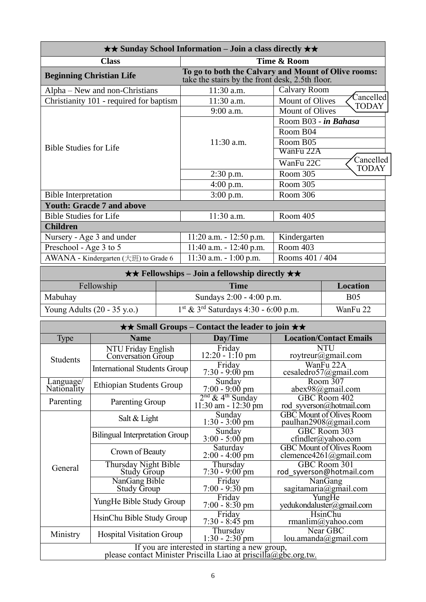| $\star\star$ Sunday School Information – Join a class directly $\star\star$ |                                                 |                                                     |  |
|-----------------------------------------------------------------------------|-------------------------------------------------|-----------------------------------------------------|--|
| <b>Class</b>                                                                |                                                 | Time & Room                                         |  |
| <b>Beginning Christian Life</b>                                             | take the stairs by the front desk, 2.5th floor. | To go to both the Calvary and Mount of Olive rooms: |  |
| Alpha – New and non-Christians                                              | $11:30$ a.m.                                    | <b>Calvary Room</b>                                 |  |
| Christianity 101 - required for baptism                                     | 11:30 a.m.                                      | Cancelled<br>Mount of Olives<br><b>TODAY</b>        |  |
|                                                                             | $9:00$ a.m.                                     | <b>Mount of Olives</b>                              |  |
|                                                                             |                                                 | Room B03 - in Bahasa                                |  |
|                                                                             |                                                 | Room B04                                            |  |
|                                                                             | $11:30$ a.m.                                    | Room B05                                            |  |
| <b>Bible Studies for Life</b>                                               |                                                 | WanFu 22A                                           |  |
|                                                                             |                                                 | Cancelled<br>WanFu 22C<br>TODAY                     |  |
|                                                                             | $2:30$ p.m.                                     | Room 305                                            |  |
|                                                                             | $4:00$ p.m.                                     | Room 305                                            |  |
| <b>Bible Interpretation</b>                                                 | $3:00$ p.m.                                     | Room 306                                            |  |
| <b>Youth: Gracde 7 and above</b>                                            |                                                 |                                                     |  |
| <b>Bible Studies for Life</b>                                               | 11:30 a.m.                                      | Room 405                                            |  |
| <b>Children</b>                                                             |                                                 |                                                     |  |
| Nursery - Age 3 and under                                                   | $11:20$ a.m. $-12:50$ p.m.                      | Kindergarten                                        |  |
| Preschool - Age 3 to 5                                                      | $11:40$ a.m. $-12:40$ p.m.                      | Room 403                                            |  |
| AWANA - Kindergarten $(\pm \text{m})$ to Grade 6                            | $11:30$ a.m. $-1:00$ p.m.                       | Rooms 401 / 404                                     |  |

| $\star \star$ Fellowships – Join a fellowship directly $\star \star$ |                                                    |            |
|----------------------------------------------------------------------|----------------------------------------------------|------------|
| Fellowship                                                           | Time                                               | Location   |
| Mabuhay                                                              | Sundays $2:00 - 4:00$ p.m.                         | <b>B05</b> |
| Young Adults $(20 - 35 \text{ y.o.})$                                | $1st$ & 3 <sup>rd</sup> Saturdays 4:30 - 6:00 p.m. | WanFu 22   |

|                          |                                                                                                                   | $\star\star$ Small Groups – Contact the leader to join $\star\star$ |                                                           |
|--------------------------|-------------------------------------------------------------------------------------------------------------------|---------------------------------------------------------------------|-----------------------------------------------------------|
| Type                     | <b>Name</b>                                                                                                       | Day/Time                                                            | <b>Location/Contact Emails</b>                            |
| <b>Students</b>          | NTU Friday English<br><b>Conversation Group</b>                                                                   | Friday<br>$12:20 - 1:10 \text{ pm}$                                 | <b>NTU</b><br>roytreur@gmail.com                          |
|                          | <b>International Students Group</b>                                                                               | Friday<br>$7:30 - 9:00 \text{ pm}$                                  | $\overline{\text{W}}$ anFu 22A<br>cesaledro57@gmail.com   |
| Language/<br>Nationality | <b>Ethiopian Students Group</b>                                                                                   | Sunday<br>$7:00 - 9:00$ pm                                          | Room 307<br>$abex98$ @gmail.com                           |
| Parenting                | Parenting Group                                                                                                   | $2nd$ & 4 <sup>th</sup> Sunday<br>$11:30$ am - $12:30$ pm           | GBC Room 402<br>rod syverson@hotmail.com                  |
|                          | Salt & Light                                                                                                      | Sunday<br>$1:30 - 3:00$ pm                                          | <b>GBC</b> Mount of Olives Room<br>paulhan2908@gmail.com  |
|                          | <b>Bilingual Interpretation Group</b>                                                                             | Sunday<br>$3:00 - 5:00$ pm                                          | GBC Room 303<br>cfindler@yahoo.com                        |
|                          | Crown of Beauty                                                                                                   | Saturday<br>$2:00 - 4:00$ pm                                        | <b>GBC</b> Mount of Olives Room<br>clemence4261@gmail.com |
| General                  | Thursday Night Bible<br>Study Group                                                                               | Thursday<br>$7:30 - 9:00$ pm                                        | GBC Room 301<br>rod syverson@hotmail.com                  |
|                          | NanGang Bible<br><b>Study Group</b>                                                                               | Friday<br>$7:00 - 9:30$ pm                                          | NanGang<br>sagitamaria@gmail.com                          |
|                          | YungHe Bible Study Group                                                                                          | Friday<br>$7:00 - 8:30$ pm                                          | YungHe<br>yedukondaluster@gmail.com                       |
|                          | HsinChu Bible Study Group                                                                                         | Friday<br>$7:30 - 8:45$ pm                                          | <b>HsinChu</b><br>rmanlim@yahoo.com                       |
| Ministry                 | <b>Hospital Visitation Group</b>                                                                                  | Thursday<br>$1:30 - 2:30$ pm                                        | Near GBC<br>lou.amanda@gmail.com                          |
|                          | If you are interested in starting a new group,<br>please contact Minister Priscilla Liao at priscilla@gbc.org.tw. |                                                                     |                                                           |